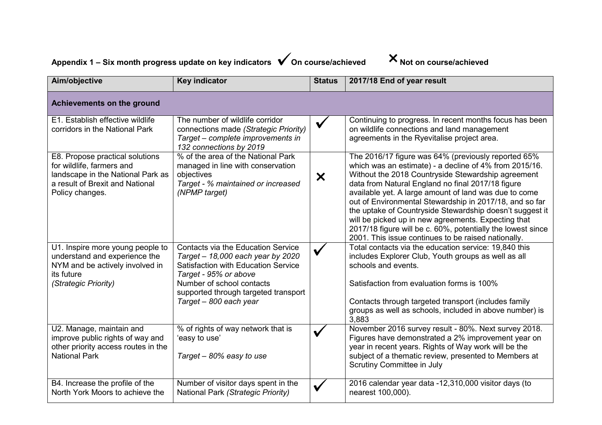| Appendix 1 – Six month progress update on key indicators $\sqrt{}$ On course/achieved |  |  | Not on course/achieved |
|---------------------------------------------------------------------------------------|--|--|------------------------|
|---------------------------------------------------------------------------------------|--|--|------------------------|

| Aim/objective                                                                                                                                           | <b>Key indicator</b>                                                                                                                                                                                                                                 | <b>Status</b>             | 2017/18 End of year result                                                                                                                                                                                                                                                                                                                                                                                                                                                                                                                                                            |  |  |
|---------------------------------------------------------------------------------------------------------------------------------------------------------|------------------------------------------------------------------------------------------------------------------------------------------------------------------------------------------------------------------------------------------------------|---------------------------|---------------------------------------------------------------------------------------------------------------------------------------------------------------------------------------------------------------------------------------------------------------------------------------------------------------------------------------------------------------------------------------------------------------------------------------------------------------------------------------------------------------------------------------------------------------------------------------|--|--|
| Achievements on the ground                                                                                                                              |                                                                                                                                                                                                                                                      |                           |                                                                                                                                                                                                                                                                                                                                                                                                                                                                                                                                                                                       |  |  |
| E1. Establish effective wildlife<br>corridors in the National Park                                                                                      | The number of wildlife corridor<br>connections made (Strategic Priority)<br>Target - complete improvements in<br>132 connections by 2019                                                                                                             | $\checkmark$              | Continuing to progress. In recent months focus has been<br>on wildlife connections and land management<br>agreements in the Ryevitalise project area.                                                                                                                                                                                                                                                                                                                                                                                                                                 |  |  |
| E8. Propose practical solutions<br>for wildlife, farmers and<br>landscape in the National Park as<br>a result of Brexit and National<br>Policy changes. | % of the area of the National Park<br>managed in line with conservation<br>objectives<br>Target - % maintained or increased<br>(NPMP target)                                                                                                         | $\boldsymbol{\mathsf{x}}$ | The 2016/17 figure was 64% (previously reported 65%<br>which was an estimate) - a decline of 4% from 2015/16.<br>Without the 2018 Countryside Stewardship agreement<br>data from Natural England no final 2017/18 figure<br>available yet. A large amount of land was due to come<br>out of Environmental Stewardship in 2017/18, and so far<br>the uptake of Countryside Stewardship doesn't suggest it<br>will be picked up in new agreements. Expecting that<br>2017/18 figure will be c. 60%, potentially the lowest since<br>2001. This issue continues to be raised nationally. |  |  |
| U1. Inspire more young people to<br>understand and experience the<br>NYM and be actively involved in<br>its future<br>(Strategic Priority)              | <b>Contacts via the Education Service</b><br>Target - 18,000 each year by 2020<br><b>Satisfaction with Education Service</b><br>Target - 95% or above<br>Number of school contacts<br>supported through targeted transport<br>Target - 800 each year |                           | Total contacts via the education service: 19,840 this<br>includes Explorer Club, Youth groups as well as all<br>schools and events.<br>Satisfaction from evaluation forms is 100%<br>Contacts through targeted transport (includes family<br>groups as well as schools, included in above number) is<br>3,883                                                                                                                                                                                                                                                                         |  |  |
| U2. Manage, maintain and<br>improve public rights of way and<br>other priority access routes in the<br><b>National Park</b>                             | % of rights of way network that is<br>'easy to use'<br>Target - 80% easy to use                                                                                                                                                                      | V                         | November 2016 survey result - 80%. Next survey 2018.<br>Figures have demonstrated a 2% improvement year on<br>year in recent years. Rights of Way work will be the<br>subject of a thematic review, presented to Members at<br>Scrutiny Committee in July                                                                                                                                                                                                                                                                                                                             |  |  |
| B4. Increase the profile of the<br>North York Moors to achieve the                                                                                      | Number of visitor days spent in the<br>National Park (Strategic Priority)                                                                                                                                                                            |                           | 2016 calendar year data -12,310,000 visitor days (to<br>nearest 100,000).                                                                                                                                                                                                                                                                                                                                                                                                                                                                                                             |  |  |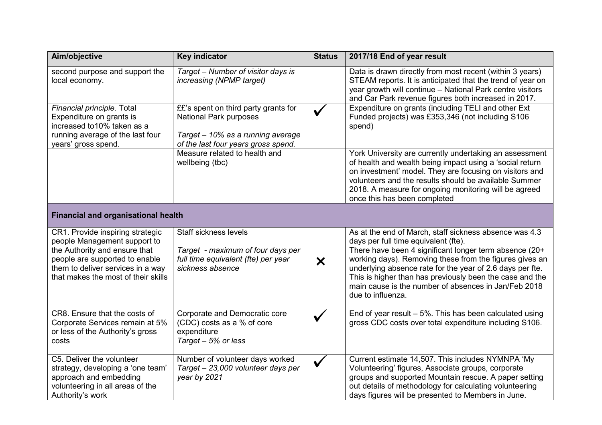| Aim/objective                                                                                                                                                                                                   | <b>Key indicator</b>                                                                                                                              | <b>Status</b> | 2017/18 End of year result                                                                                                                                                                                                                                                                                                                                                                                                |  |  |
|-----------------------------------------------------------------------------------------------------------------------------------------------------------------------------------------------------------------|---------------------------------------------------------------------------------------------------------------------------------------------------|---------------|---------------------------------------------------------------------------------------------------------------------------------------------------------------------------------------------------------------------------------------------------------------------------------------------------------------------------------------------------------------------------------------------------------------------------|--|--|
| second purpose and support the<br>local economy.                                                                                                                                                                | Target - Number of visitor days is<br>increasing (NPMP target)                                                                                    |               | Data is drawn directly from most recent (within 3 years)<br>STEAM reports. It is anticipated that the trend of year on<br>year growth will continue - National Park centre visitors<br>and Car Park revenue figures both increased in 2017.                                                                                                                                                                               |  |  |
| Financial principle. Total<br>Expenditure on grants is<br>increased to 10% taken as a<br>running average of the last four<br>years' gross spend.                                                                | ££'s spent on third party grants for<br><b>National Park purposes</b><br>Target - 10% as a running average<br>of the last four years gross spend. | $\checkmark$  | Expenditure on grants (including TELI and other Ext<br>Funded projects) was £353,346 (not including S106<br>spend)                                                                                                                                                                                                                                                                                                        |  |  |
|                                                                                                                                                                                                                 | Measure related to health and<br>wellbeing (tbc)                                                                                                  |               | York University are currently undertaking an assessment<br>of health and wealth being impact using a 'social return<br>on investment' model. They are focusing on visitors and<br>volunteers and the results should be available Summer<br>2018. A measure for ongoing monitoring will be agreed<br>once this has been completed                                                                                          |  |  |
| <b>Financial and organisational health</b>                                                                                                                                                                      |                                                                                                                                                   |               |                                                                                                                                                                                                                                                                                                                                                                                                                           |  |  |
| CR1. Provide inspiring strategic<br>people Management support to<br>the Authority and ensure that<br>people are supported to enable<br>them to deliver services in a way<br>that makes the most of their skills | <b>Staff sickness levels</b><br>Target - maximum of four days per<br>full time equivalent (fte) per year<br>sickness absence                      | $\bm{\times}$ | As at the end of March, staff sickness absence was 4.3<br>days per full time equivalent (fte).<br>There have been 4 significant longer term absence (20+<br>working days). Removing these from the figures gives an<br>underlying absence rate for the year of 2.6 days per fte.<br>This is higher than has previously been the case and the<br>main cause is the number of absences in Jan/Feb 2018<br>due to influenza. |  |  |
| CR8. Ensure that the costs of<br>Corporate Services remain at 5%<br>or less of the Authority's gross<br>costs                                                                                                   | Corporate and Democratic core<br>(CDC) costs as a % of core<br>expenditure<br>Target - 5% or less                                                 | $\checkmark$  | End of year result $-5\%$ . This has been calculated using<br>gross CDC costs over total expenditure including S106.                                                                                                                                                                                                                                                                                                      |  |  |
| C5. Deliver the volunteer<br>strategy, developing a 'one team'<br>approach and embedding<br>volunteering in all areas of the<br>Authority's work                                                                | Number of volunteer days worked<br>Target - 23,000 volunteer days per<br>year by 2021                                                             |               | Current estimate 14,507. This includes NYMNPA 'My<br>Volunteering' figures, Associate groups, corporate<br>groups and supported Mountain rescue. A paper setting<br>out details of methodology for calculating volunteering<br>days figures will be presented to Members in June.                                                                                                                                         |  |  |